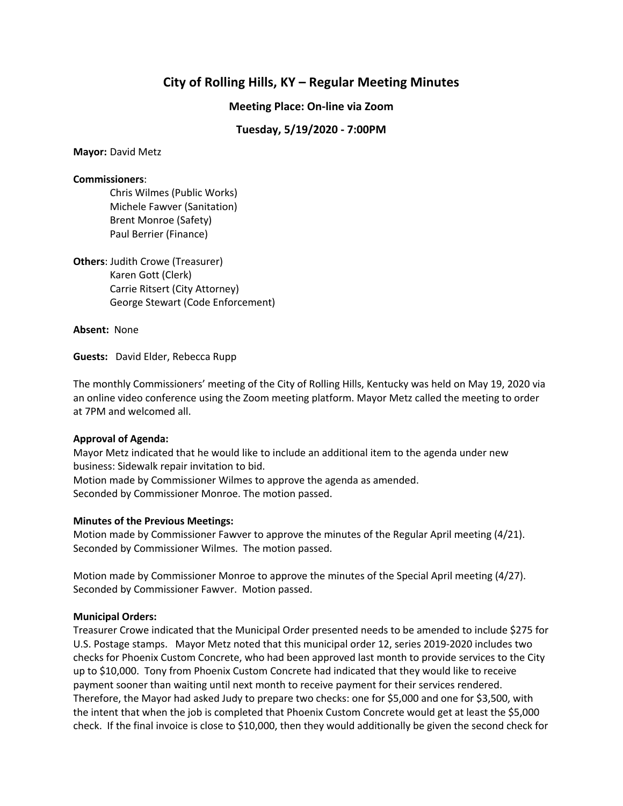# **City of Rolling Hills, KY – Regular Meeting Minutes**

**Meeting Place: On-line via Zoom**

# **Tuesday, 5/19/2020 - 7:00PM**

#### **Mayor:** David Metz

## **Commissioners**:

Chris Wilmes (Public Works) Michele Fawver (Sanitation) Brent Monroe (Safety) Paul Berrier (Finance)

**Others**: Judith Crowe (Treasurer) Karen Gott (Clerk) Carrie Ritsert (City Attorney) George Stewart (Code Enforcement)

**Absent:** None

**Guests:** David Elder, Rebecca Rupp

The monthly Commissioners' meeting of the City of Rolling Hills, Kentucky was held on May 19, 2020 via an online video conference using the Zoom meeting platform. Mayor Metz called the meeting to order at 7PM and welcomed all.

## **Approval of Agenda:**

Mayor Metz indicated that he would like to include an additional item to the agenda under new business: Sidewalk repair invitation to bid.

Motion made by Commissioner Wilmes to approve the agenda as amended. Seconded by Commissioner Monroe. The motion passed.

## **Minutes of the Previous Meetings:**

Motion made by Commissioner Fawver to approve the minutes of the Regular April meeting (4/21). Seconded by Commissioner Wilmes. The motion passed.

Motion made by Commissioner Monroe to approve the minutes of the Special April meeting (4/27). Seconded by Commissioner Fawver. Motion passed.

## **Municipal Orders:**

Treasurer Crowe indicated that the Municipal Order presented needs to be amended to include \$275 for U.S. Postage stamps. Mayor Metz noted that this municipal order 12, series 2019-2020 includes two checks for Phoenix Custom Concrete, who had been approved last month to provide services to the City up to \$10,000. Tony from Phoenix Custom Concrete had indicated that they would like to receive payment sooner than waiting until next month to receive payment for their services rendered. Therefore, the Mayor had asked Judy to prepare two checks: one for \$5,000 and one for \$3,500, with the intent that when the job is completed that Phoenix Custom Concrete would get at least the \$5,000 check. If the final invoice is close to \$10,000, then they would additionally be given the second check for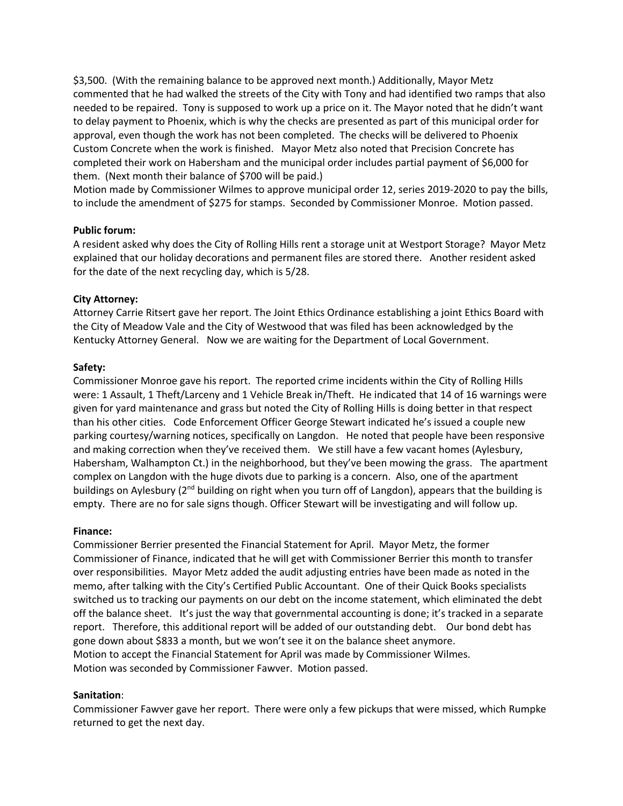\$3,500. (With the remaining balance to be approved next month.) Additionally, Mayor Metz commented that he had walked the streets of the City with Tony and had identified two ramps that also needed to be repaired. Tony is supposed to work up a price on it. The Mayor noted that he didn't want to delay payment to Phoenix, which is why the checks are presented as part of this municipal order for approval, even though the work has not been completed. The checks will be delivered to Phoenix Custom Concrete when the work is finished. Mayor Metz also noted that Precision Concrete has completed their work on Habersham and the municipal order includes partial payment of \$6,000 for them. (Next month their balance of \$700 will be paid.)

Motion made by Commissioner Wilmes to approve municipal order 12, series 2019-2020 to pay the bills, to include the amendment of \$275 for stamps. Seconded by Commissioner Monroe. Motion passed.

## **Public forum:**

A resident asked why does the City of Rolling Hills rent a storage unit at Westport Storage? Mayor Metz explained that our holiday decorations and permanent files are stored there. Another resident asked for the date of the next recycling day, which is 5/28.

## **City Attorney:**

Attorney Carrie Ritsert gave her report. The Joint Ethics Ordinance establishing a joint Ethics Board with the City of Meadow Vale and the City of Westwood that was filed has been acknowledged by the Kentucky Attorney General. Now we are waiting for the Department of Local Government.

## **Safety:**

Commissioner Monroe gave his report. The reported crime incidents within the City of Rolling Hills were: 1 Assault, 1 Theft/Larceny and 1 Vehicle Break in/Theft. He indicated that 14 of 16 warnings were given for yard maintenance and grass but noted the City of Rolling Hills is doing better in that respect than his other cities. Code Enforcement Officer George Stewart indicated he's issued a couple new parking courtesy/warning notices, specifically on Langdon. He noted that people have been responsive and making correction when they've received them. We still have a few vacant homes (Aylesbury, Habersham, Walhampton Ct.) in the neighborhood, but they've been mowing the grass. The apartment complex on Langdon with the huge divots due to parking is a concern. Also, one of the apartment buildings on Aylesbury (2<sup>nd</sup> building on right when you turn off of Langdon), appears that the building is empty. There are no for sale signs though. Officer Stewart will be investigating and will follow up.

#### **Finance:**

Commissioner Berrier presented the Financial Statement for April. Mayor Metz, the former Commissioner of Finance, indicated that he will get with Commissioner Berrier this month to transfer over responsibilities. Mayor Metz added the audit adjusting entries have been made as noted in the memo, after talking with the City's Certified Public Accountant. One of their Quick Books specialists switched us to tracking our payments on our debt on the income statement, which eliminated the debt off the balance sheet. It's just the way that governmental accounting is done; it's tracked in a separate report. Therefore, this additional report will be added of our outstanding debt. Our bond debt has gone down about \$833 a month, but we won't see it on the balance sheet anymore. Motion to accept the Financial Statement for April was made by Commissioner Wilmes. Motion was seconded by Commissioner Fawver. Motion passed.

#### **Sanitation**:

Commissioner Fawver gave her report. There were only a few pickups that were missed, which Rumpke returned to get the next day.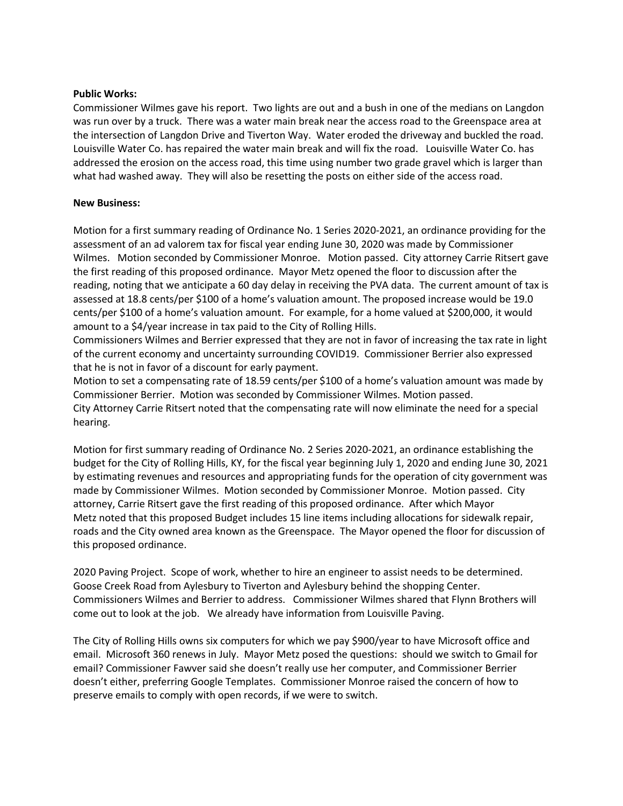## **Public Works:**

Commissioner Wilmes gave his report. Two lights are out and a bush in one of the medians on Langdon was run over by a truck. There was a water main break near the access road to the Greenspace area at the intersection of Langdon Drive and Tiverton Way. Water eroded the driveway and buckled the road. Louisville Water Co. has repaired the water main break and will fix the road. Louisville Water Co. has addressed the erosion on the access road, this time using number two grade gravel which is larger than what had washed away. They will also be resetting the posts on either side of the access road.

## **New Business:**

Motion for a first summary reading of Ordinance No. 1 Series 2020-2021, an ordinance providing for the assessment of an ad valorem tax for fiscal year ending June 30, 2020 was made by Commissioner Wilmes. Motion seconded by Commissioner Monroe. Motion passed. City attorney Carrie Ritsert gave the first reading of this proposed ordinance. Mayor Metz opened the floor to discussion after the reading, noting that we anticipate a 60 day delay in receiving the PVA data. The current amount of tax is assessed at 18.8 cents/per \$100 of a home's valuation amount. The proposed increase would be 19.0 cents/per \$100 of a home's valuation amount. For example, for a home valued at \$200,000, it would amount to a \$4/year increase in tax paid to the City of Rolling Hills.

Commissioners Wilmes and Berrier expressed that they are not in favor of increasing the tax rate in light of the current economy and uncertainty surrounding COVID19. Commissioner Berrier also expressed that he is not in favor of a discount for early payment.

Motion to set a compensating rate of 18.59 cents/per \$100 of a home's valuation amount was made by Commissioner Berrier. Motion was seconded by Commissioner Wilmes. Motion passed. City Attorney Carrie Ritsert noted that the compensating rate will now eliminate the need for a special hearing.

Motion for first summary reading of Ordinance No. 2 Series 2020-2021, an ordinance establishing the budget for the City of Rolling Hills, KY, for the fiscal year beginning July 1, 2020 and ending June 30, 2021 by estimating revenues and resources and appropriating funds for the operation of city government was made by Commissioner Wilmes. Motion seconded by Commissioner Monroe. Motion passed. City attorney, Carrie Ritsert gave the first reading of this proposed ordinance. After which Mayor Metz noted that this proposed Budget includes 15 line items including allocations for sidewalk repair, roads and the City owned area known as the Greenspace. The Mayor opened the floor for discussion of this proposed ordinance.

2020 Paving Project. Scope of work, whether to hire an engineer to assist needs to be determined. Goose Creek Road from Aylesbury to Tiverton and Aylesbury behind the shopping Center. Commissioners Wilmes and Berrier to address. Commissioner Wilmes shared that Flynn Brothers will come out to look at the job. We already have information from Louisville Paving.

The City of Rolling Hills owns six computers for which we pay \$900/year to have Microsoft office and email. Microsoft 360 renews in July. Mayor Metz posed the questions: should we switch to Gmail for email? Commissioner Fawver said she doesn't really use her computer, and Commissioner Berrier doesn't either, preferring Google Templates. Commissioner Monroe raised the concern of how to preserve emails to comply with open records, if we were to switch.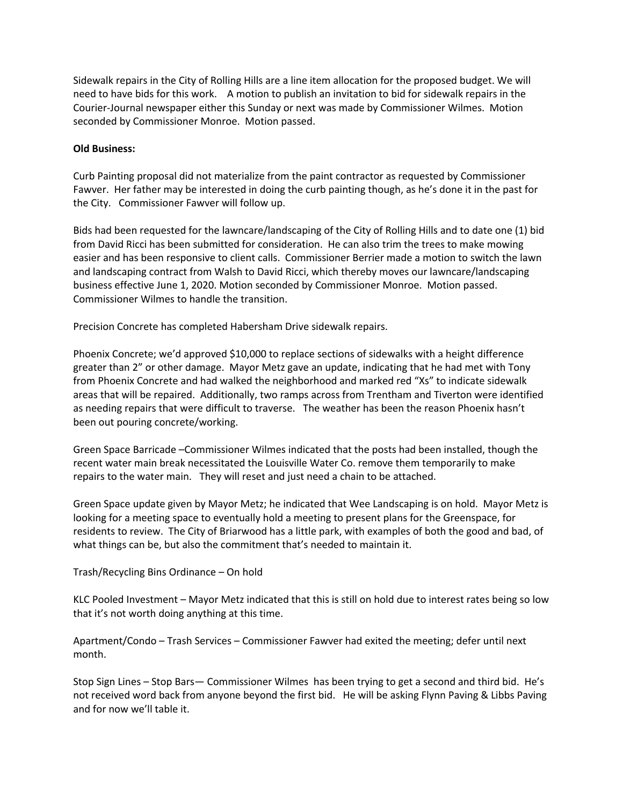Sidewalk repairs in the City of Rolling Hills are a line item allocation for the proposed budget. We will need to have bids for this work. A motion to publish an invitation to bid for sidewalk repairs in the Courier-Journal newspaper either this Sunday or next was made by Commissioner Wilmes. Motion seconded by Commissioner Monroe. Motion passed.

## **Old Business:**

Curb Painting proposal did not materialize from the paint contractor as requested by Commissioner Fawver. Her father may be interested in doing the curb painting though, as he's done it in the past for the City. Commissioner Fawver will follow up.

Bids had been requested for the lawncare/landscaping of the City of Rolling Hills and to date one (1) bid from David Ricci has been submitted for consideration. He can also trim the trees to make mowing easier and has been responsive to client calls. Commissioner Berrier made a motion to switch the lawn and landscaping contract from Walsh to David Ricci, which thereby moves our lawncare/landscaping business effective June 1, 2020. Motion seconded by Commissioner Monroe. Motion passed. Commissioner Wilmes to handle the transition.

Precision Concrete has completed Habersham Drive sidewalk repairs.

Phoenix Concrete; we'd approved \$10,000 to replace sections of sidewalks with a height difference greater than 2" or other damage. Mayor Metz gave an update, indicating that he had met with Tony from Phoenix Concrete and had walked the neighborhood and marked red "Xs" to indicate sidewalk areas that will be repaired. Additionally, two ramps across from Trentham and Tiverton were identified as needing repairs that were difficult to traverse. The weather has been the reason Phoenix hasn't been out pouring concrete/working.

Green Space Barricade –Commissioner Wilmes indicated that the posts had been installed, though the recent water main break necessitated the Louisville Water Co. remove them temporarily to make repairs to the water main. They will reset and just need a chain to be attached.

Green Space update given by Mayor Metz; he indicated that Wee Landscaping is on hold. Mayor Metz is looking for a meeting space to eventually hold a meeting to present plans for the Greenspace, for residents to review. The City of Briarwood has a little park, with examples of both the good and bad, of what things can be, but also the commitment that's needed to maintain it.

Trash/Recycling Bins Ordinance – On hold

KLC Pooled Investment – Mayor Metz indicated that this is still on hold due to interest rates being so low that it's not worth doing anything at this time.

Apartment/Condo – Trash Services – Commissioner Fawver had exited the meeting; defer until next month.

Stop Sign Lines – Stop Bars— Commissioner Wilmes has been trying to get a second and third bid. He's not received word back from anyone beyond the first bid. He will be asking Flynn Paving & Libbs Paving and for now we'll table it.